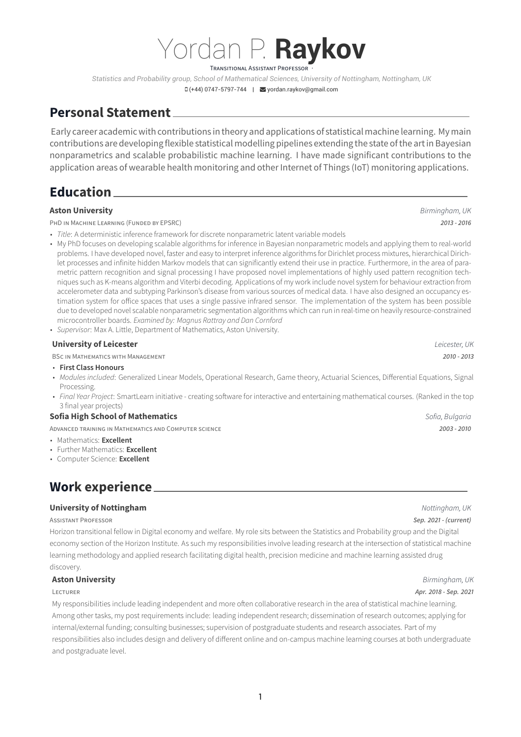# Yordan P. **Raykov TRANSITIONAL ASSISTANT PROFESSOR**

*Statistics and Probability group, School of Mathematical Sciences, University of Nottingham, Nottingham, UK*

#### (+44) 0747-5797-744 | [yordan.raykov@gmail.com](mailto:yordan.raykov@gmail.com)

## **Personal Statement**

Early career academic with contributions in theory and applications of statisticalmachine learning. Mymain contributions are developingflexible statistical modelling pipelines extending the state of the art in Bayesian nonparametrics and scalable probabilistic machine learning. I have made significant contributions to the application areas of wearable health monitoring and other Internet of Things (IoT) monitoring applications.

## **Education**

### **Aston University** *Birmingham, UK*

PHD IN MACHINE LEARNING (FUNDED BY EPSRC) *2013 - 2016*

• *Title*: A deterministic inference framework for discrete nonparametric latent variable models

• My PhD focuses on developing scalable algorithms for inference in Bayesian nonparametric models and applying them to real-world problems. I have developed novel, faster and easy to interpret inference algorithms for Dirichlet process mixtures, hierarchical Dirichlet processes and infinite hidden Markov models that can significantly extend their use in practice. Furthermore, in the area of parametric pattern recognition and signal processing I have proposed novel implementations of highly used pattern recognition techniques such as K-means algorithm and Viterbi decoding. Applications of my work include novel system for behaviour extraction from accelerometer data and subtyping Parkinson's disease from various sources of medical data. I have also designed an occupancy estimation system for office spaces that uses a single passive infrared sensor. The implementation of the system has been possible due to developed novel scalable nonparametric segmentation algorithms which can run in real-time on heavily resource-constrained microcontroller boards. *Examined by: Magnus Rattray and Dan Cornford*

• *Supervisor*: Max A. Little, Department of Mathematics, Aston University.

| <b>University of Leicester</b>                                                                                                                                                                                                                                                                                                                      | Leicester, UK   |
|-----------------------------------------------------------------------------------------------------------------------------------------------------------------------------------------------------------------------------------------------------------------------------------------------------------------------------------------------------|-----------------|
| <b>BSC IN MATHEMATICS WITH MANAGEMENT</b>                                                                                                                                                                                                                                                                                                           | $2010 - 2013$   |
| • First Class Honours<br>• Modules included: Generalized Linear Models, Operational Research, Game theory, Actuarial Sciences, Differential Equations, Signal<br>Processing.<br>· Final Year Project: SmartLearn initiative - creating software for interactive and entertaining mathematical courses. (Ranked in the top<br>3 final year projects) |                 |
| <b>Sofia High School of Mathematics</b>                                                                                                                                                                                                                                                                                                             | Sofia, Bulgaria |
| ADVANCED TRAINING IN MATHEMATICS AND COMPUTER SCIENCE                                                                                                                                                                                                                                                                                               | $2003 - 2010$   |
| • Mathematics: Excellent<br>• Further Mathematics: Excellent                                                                                                                                                                                                                                                                                        |                 |

• Computer Science: **Excellent**

# **Work experience**

### **University of Nottingham** *Nottingham, UK*

#### ASSISTANT PROFESSOR *Sep. 2021 - (current)*

Horizon transitional fellow in Digital economy and welfare. My role sits between the Statistics and Probability group and the Digital economy section of the Horizon Institute. As such my responsibilities involve leading research at the intersection of statistical machine learning methodology and applied research facilitating digital health, precision medicine and machine learning assisted drug discovery.

### **Aston University** *Birmingham, UK*

#### LECTURER *Apr. 2018 - Sep. 2021*

My responsibilities include leading independent and more often collaborative research in the area of statistical machine learning. Among other tasks, my post requirements include: leading independent research; dissemination of research outcomes; applying for internal/external funding; consulting businesses; supervision of postgraduate students and research associates. Part of my responsibilities also includes design and delivery of different online and on-campus machine learning courses at both undergraduate and postgraduate level.

1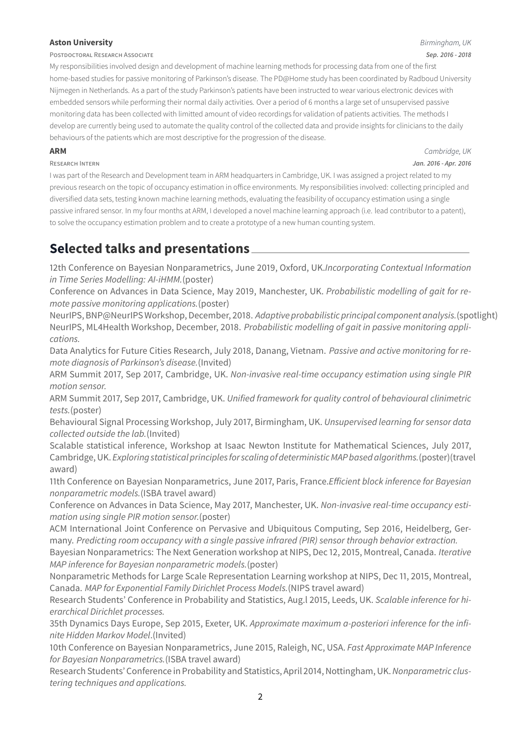### **Aston University** *Birmingham, UK*

POSTDOCTORAL RESEARCH ASSOCIATE *Sep. 2016 - 2018*

My responsibilities involved design and development of machine learning methods for processing data from one of the first home-based studies for passive monitoring of Parkinson's disease. The PD@Home study has been coordinated by Radboud University Nijmegen in Netherlands. As a part of the study Parkinson's patients have been instructed to wear various electronic devices with embedded sensors while performing their normal daily activities. Over a period of 6 months a large set of unsupervised passive monitoring data has been collected with limitted amount of video recordings for validation of patients activities. The methods I develop are currently being used to automate the quality control of the collected data and provide insights for clinicians to the daily behaviours of the patients which are most descriptive for the progression of the disease.

**ARM** *Cambridge, UK* RESEARCH INTERN *Jan. 2016 - Apr. 2016*

I was part of the Research and Development team in ARM headquarters in Cambridge, UK. I was assigned a project related to my previous research on the topic of occupancy estimation in office environments. My responsibilities involved: collecting principled and diversified data sets, testing known machine learning methods, evaluating the feasibility of occupancy estimation using a single passive infrared sensor. In my four months at ARM, I developed a novel machine learning approach (i.e. lead contributor to a patent), to solve the occupancy estimation problem and to create a prototype of a new human counting system.

# **Selected talks and presentations**

12th Conference on Bayesian Nonparametrics, June 2019, Oxford, UK.*Incorporating Contextual Information in Time Series Modelling: AI-iHMM.*(poster)

Conference on Advances in Data Science, May 2019, Manchester, UK. *Probabilistic modelling of gait for remote passive monitoring applications.*(poster)

NeurIPS, BNP@NeurIPS Workshop, December, 2018. *Adaptive probabilistic principal component analysis.*(spotlight) NeurIPS, ML4Health Workshop, December, 2018. *Probabilistic modelling of gait in passive monitoring applications.*

Data Analytics for Future Cities Research, July 2018, Danang, Vietnam. *Passive and active monitoring for remote diagnosis of Parkinson's disease.*(Invited)

ARM Summit 2017, Sep 2017, Cambridge, UK. *Non-invasive real-time occupancy estimation using single PIR motion sensor.*

ARM Summit 2017, Sep 2017, Cambridge, UK. *Unified framework for quality control of behavioural clinimetric tests.*(poster)

Behavioural Signal Processing Workshop, July 2017, Birmingham, UK. *Unsupervised learning for sensor data collected outside the lab.*(Invited)

Scalable statistical inference, Workshop at Isaac Newton Institute for Mathematical Sciences, July 2017, Cambridge, UK. *Exploring statistical principlesfor scaling of deterministic MAP based algorithms.*(poster)(travel award)

11th Conference on Bayesian Nonparametrics, June 2017, Paris, France.*Efficient block inference for Bayesian nonparametric models.*(ISBA travel award)

Conference on Advances in Data Science, May 2017, Manchester, UK. *Non-invasive real-time occupancy estimation using single PIR motion sensor.*(poster)

ACM International Joint Conference on Pervasive and Ubiquitous Computing, Sep 2016, Heidelberg, Germany. *Predicting room occupancy with a single passive infrared (PIR) sensor through behavior extraction.*

Bayesian Nonparametrics: The Next Generation workshop at NIPS, Dec 12, 2015, Montreal, Canada. *Iterative MAP inference for Bayesian nonparametric models.*(poster)

Nonparametric Methods for Large Scale Representation Learning workshop at NIPS, Dec 11, 2015, Montreal, Canada. *MAP for Exponential Family Dirichlet Process Models.*(NIPS travel award)

Research Students' Conference in Probability and Statistics, Aug.l 2015, Leeds, UK. *Scalable inference for hierarchical Dirichlet processes.*

35th Dynamics Days Europe, Sep 2015, Exeter, UK. *Approximate maximum a-posteriori inference for the infinite Hidden Markov Model*.(Invited)

10th Conference on Bayesian Nonparametrics, June 2015, Raleigh, NC, USA. *Fast Approximate MAP Inference for Bayesian Nonparametrics.*(ISBA travel award)

Research Students' Conference in Probability and Statistics, April 2014, Nottingham, UK.*Nonparametric clustering techniques and applications.*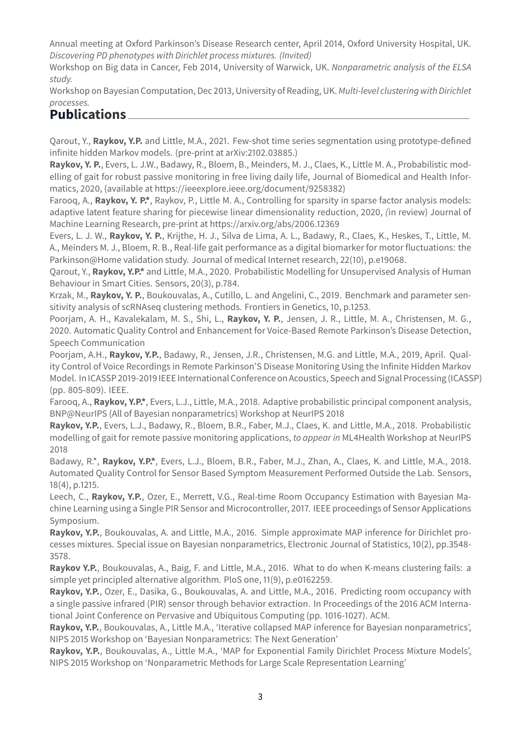Annual meeting at Oxford Parkinson's Disease Research center, April 2014, Oxford University Hospital, UK. *Discovering PD phenotypes with Dirichlet process mixtures. (Invited)*

Workshop on Big data in Cancer, Feb 2014, University of Warwick, UK. *Nonparametric analysis of the ELSA study.*

Workshop on Bayesian Computation, Dec 2013, University of Reading, UK. *Multi-level clustering with Dirichlet processes.*

## **Publications**

Qarout, Y., **Raykov, Y.P.** and Little, M.A., 2021. Few-shot time series segmentation using prototype-defined infinite hidden Markov models. (pre-print at arXiv:2102.03885.)

**Raykov, Y. P.**, Evers, L. J.W., Badawy, R., Bloem, B., Meinders, M. J., Claes, K., Little M. A., Probabilistic modelling of gait for robust passive monitoring in free living daily life, Journal of Biomedical and Health Informatics, 2020, (available at https://ieeexplore.ieee.org/document/9258382)

Farooq, A., **Raykov, Y. P.\***, Raykov, P., Little M. A., Controlling for sparsity in sparse factor analysis models: adaptive latent feature sharing for piecewise linear dimensionality reduction, 2020, *(*in review) Journal of Machine Learning Research, pre-print at https://arxiv.org/abs/2006.12369

Evers, L. J. W., **Raykov, Y. P.**, Krijthe, H. J., Silva de Lima, A. L., Badawy, R., Claes, K., Heskes, T., Little, M. A., Meinders M. J., Bloem, R. B., Real-life gait performance as a digital biomarker for motor fluctuations: the Parkinson@Home validation study. Journal of medical Internet research, 22(10), p.e19068.

Qarout, Y., **Raykov, Y.P.\*** and Little, M.A., 2020. Probabilistic Modelling for Unsupervised Analysis of Human Behaviour in Smart Cities. Sensors, 20(3), p.784.

Krzak, M., **Raykov, Y. P.**, Boukouvalas, A., Cutillo, L. and Angelini, C., 2019. Benchmark and parameter sensitivity analysis of scRNAseq clustering methods. Frontiers in Genetics, 10, p.1253.

Poorjam, A. H., Kavalekalam, M. S., Shi, L., **Raykov, Y. P.**, Jensen, J. R., Little, M. A., Christensen, M. G., 2020. Automatic Quality Control and Enhancement for Voice-Based Remote Parkinson's Disease Detection, Speech Communication

Poorjam, A.H., **Raykov, Y.P.**, Badawy, R., Jensen, J.R., Christensen, M.G. and Little, M.A., 2019, April. Quality Control of Voice Recordings in Remote Parkinson'S Disease Monitoring Using the Infinite Hidden Markov Model. In ICASSP 2019-2019 IEEE International Conference on Acoustics, Speech and Signal Processing (ICASSP) (pp. 805-809). IEEE.

Farooq, A., **Raykov, Y.P.\***, Evers, L.J., Little, M.A., 2018. Adaptive probabilistic principal component analysis, BNP@NeurIPS (All of Bayesian nonparametrics) Workshop at NeurIPS 2018

**Raykov, Y.P.**, Evers, L.J., Badawy, R., Bloem, B.R., Faber, M.J., Claes, K. and Little, M.A., 2018. Probabilistic modelling of gait for remote passive monitoring applications, *to appear in* ML4Health Workshop at NeurIPS 2018

Badawy, R.\*, **Raykov, Y.P.\***, Evers, L.J., Bloem, B.R., Faber, M.J., Zhan, A., Claes, K. and Little, M.A., 2018. Automated Quality Control for Sensor Based Symptom Measurement Performed Outside the Lab. Sensors, 18(4), p.1215.

Leech, C., **Raykov, Y.P.**, Ozer, E., Merrett, V.G., Real-time Room Occupancy Estimation with Bayesian Machine Learning using a Single PIR Sensor and Microcontroller, 2017. IEEE proceedings of Sensor Applications Symposium.

**Raykov, Y.P.**, Boukouvalas, A. and Little, M.A., 2016. Simple approximate MAP inference for Dirichlet processes mixtures. Special issue on Bayesian nonparametrics, Electronic Journal of Statistics, 10(2), pp.3548- 3578.

**Raykov Y.P.**, Boukouvalas, A., Baig, F. and Little, M.A., 2016. What to do when K-means clustering fails: a simple yet principled alternative algorithm. PloS one, 11(9), p.e0162259.

**Raykov, Y.P.**, Ozer, E., Dasika, G., Boukouvalas, A. and Little, M.A., 2016. Predicting room occupancy with a single passive infrared (PIR) sensor through behavior extraction. In Proceedings of the 2016 ACM International Joint Conference on Pervasive and Ubiquitous Computing (pp. 1016-1027). ACM.

**Raykov, Y.P.**, Boukouvalas, A., Little M.A., 'Iterative collapsed MAP inference for Bayesian nonparametrics', NIPS 2015 Workshop on 'Bayesian Nonparametrics: The Next Generation'

**Raykov, Y.P.**, Boukouvalas, A., Little M.A., 'MAP for Exponential Family Dirichlet Process Mixture Models', NIPS 2015 Workshop on 'Nonparametric Methods for Large Scale Representation Learning'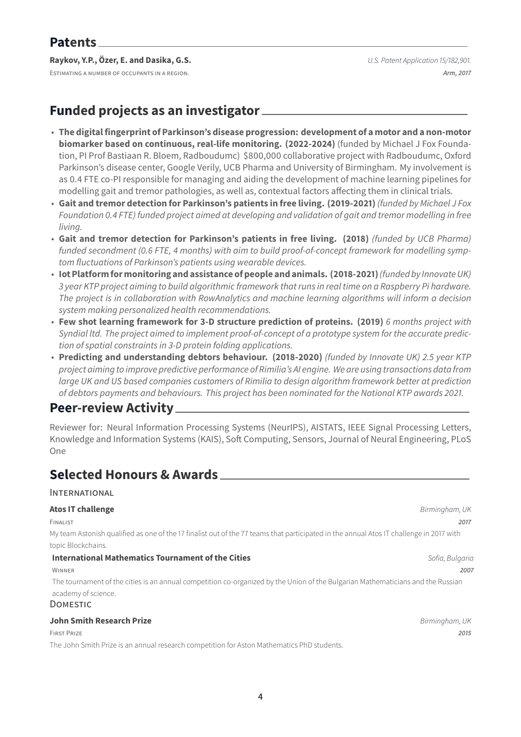### **Raykov, Y.P., Özer, E. and Dasika, G.S.** *U.S. Patent Application 15/182,901.*

ESTIMATING A NUMBER OF OCCUPANTS IN A REGION. *Arm, 2017*

# **Funded projects as an investigator**

- **The digital fingerprint of Parkinson's disease progression: development of a motor and a non-motor biomarker based on continuous, real-life monitoring. (2022-2024)** (funded by Michael J Fox Foundation, PI Prof Bastiaan R. Bloem, Radboudumc) \$800,000 collaborative project with Radboudumc, Oxford Parkinson's disease center, Google Verily, UCB Pharma and University of Birmingham. My involvement is as 0.4 FTE co-PI responsible for managing and aiding the development of machine learning pipelines for modelling gait and tremor pathologies, as well as, contextual factors affecting them in clinical trials.
- **Gait and tremor detection for Parkinson's patients in free living. (2019-2021)** *(funded by Michael J Fox Foundation 0.4 FTE) funded project aimed at developing and validation of gait and tremor modelling in free living.*
- **Gait and tremor detection for Parkinson's patients in free living. (2018)** *(funded by UCB Pharma) funded secondment (0.6 FTE, 4 months) with aim to build proof-of-concept framework for modelling symptom fluctuations of Parkinson's patients using wearable devices.*
- **Iot Platform formonitoring and assistance of people and animals. (2018-2021)***(funded by Innovate UK) 3 year KTP project aiming to build algorithmic framework that runs in real time on a Raspberry Pi hardware. The project is in collaboration with RowAnalytics and machine learning algorithms will inform a decision system making personalized health recommendations.*
- **Few shot learning framework for 3-D structure prediction of proteins. (2019)** *6 months project with Syndial ltd. The project aimed to implement proof-of-concept of a prototype system for the accurate prediction of spatial constraints in 3-D protein folding applications.*
- **Predicting and understanding debtors behaviour. (2018-2020)** *(funded by Innovate UK) 2.5 year KTP project aiming to improve predictive performance of Rimilia's AI engine. We are using transactions data from large UK and US based companies customers of Rimilia to design algorithm framework better at prediction of debtors payments and behaviours. This project has been nominated for the National KTP awards 2021.*

### **Peer-review Activity**

Reviewer for: Neural Information Processing Systems (NeurIPS), AISTATS, IEEE Signal Processing Letters, Knowledge and Information Systems (KAIS), Soft Computing, Sensors, Journal of Neural Engineering, PLoS One

## **Selected Honours & Awards**

### INTERNATIONAL

| <b>Atos IT challenge</b>                                                                                                                | Birmingham, UK  |
|-----------------------------------------------------------------------------------------------------------------------------------------|-----------------|
| FINALIST                                                                                                                                | 2017            |
| My team Astonish qualified as one of the 17 finalist out of the 77 teams that participated in the annual Atos IT challenge in 2017 with |                 |
| topic Blockchains.                                                                                                                      |                 |
| International Mathematics Tournament of the Cities                                                                                      | Sofia, Bulgaria |
| WINNER                                                                                                                                  | 2007            |
| The tournament of the cities is an annual competition co-organized by the Union of the Bulgarian Mathematicians and the Russian         |                 |
| academy of science.                                                                                                                     |                 |
| <b>DOMESTIC</b>                                                                                                                         |                 |
| <b>John Smith Research Prize</b>                                                                                                        | Birmingham, UK  |
| <b>FIRST PRIZE</b>                                                                                                                      | 2015            |

The John Smith Prize is an annual research competition for Aston Mathematics PhD students.